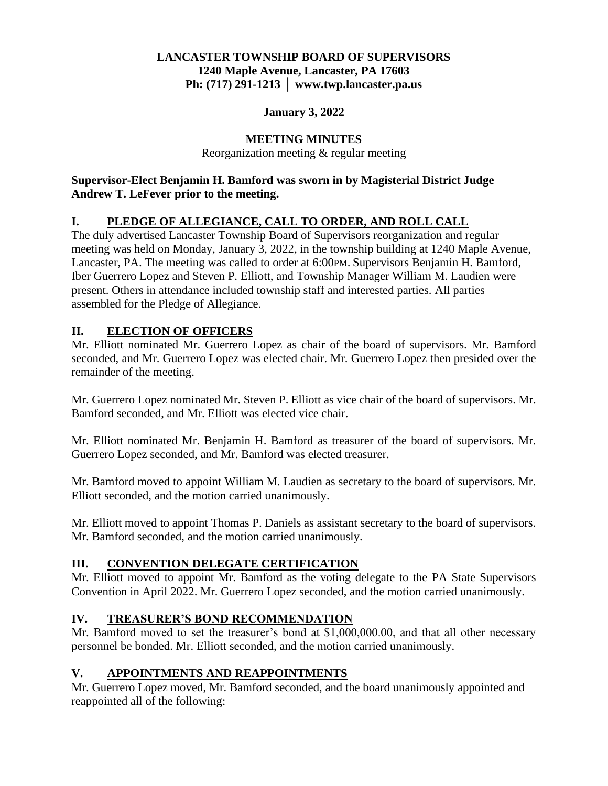#### **LANCASTER TOWNSHIP BOARD OF SUPERVISORS 1240 Maple Avenue, Lancaster, PA 17603 Ph: (717) 291-1213 │ www.twp.lancaster.pa.us**

#### **January 3, 2022**

#### **MEETING MINUTES**

Reorganization meeting & regular meeting

#### **Supervisor-Elect Benjamin H. Bamford was sworn in by Magisterial District Judge Andrew T. LeFever prior to the meeting.**

#### **I. PLEDGE OF ALLEGIANCE, CALL TO ORDER, AND ROLL CALL**

The duly advertised Lancaster Township Board of Supervisors reorganization and regular meeting was held on Monday, January 3, 2022, in the township building at 1240 Maple Avenue, Lancaster, PA. The meeting was called to order at 6:00PM. Supervisors Benjamin H. Bamford, Iber Guerrero Lopez and Steven P. Elliott, and Township Manager William M. Laudien were present. Others in attendance included township staff and interested parties. All parties assembled for the Pledge of Allegiance.

#### **II. ELECTION OF OFFICERS**

Mr. Elliott nominated Mr. Guerrero Lopez as chair of the board of supervisors. Mr. Bamford seconded, and Mr. Guerrero Lopez was elected chair. Mr. Guerrero Lopez then presided over the remainder of the meeting.

Mr. Guerrero Lopez nominated Mr. Steven P. Elliott as vice chair of the board of supervisors. Mr. Bamford seconded, and Mr. Elliott was elected vice chair.

Mr. Elliott nominated Mr. Benjamin H. Bamford as treasurer of the board of supervisors. Mr. Guerrero Lopez seconded, and Mr. Bamford was elected treasurer.

Mr. Bamford moved to appoint William M. Laudien as secretary to the board of supervisors. Mr. Elliott seconded, and the motion carried unanimously.

Mr. Elliott moved to appoint Thomas P. Daniels as assistant secretary to the board of supervisors. Mr. Bamford seconded, and the motion carried unanimously.

#### **III. CONVENTION DELEGATE CERTIFICATION**

Mr. Elliott moved to appoint Mr. Bamford as the voting delegate to the PA State Supervisors Convention in April 2022. Mr. Guerrero Lopez seconded, and the motion carried unanimously.

#### **IV. TREASURER'S BOND RECOMMENDATION**

Mr. Bamford moved to set the treasurer's bond at \$1,000,000.00, and that all other necessary personnel be bonded. Mr. Elliott seconded, and the motion carried unanimously.

## **V. APPOINTMENTS AND REAPPOINTMENTS**

Mr. Guerrero Lopez moved, Mr. Bamford seconded, and the board unanimously appointed and reappointed all of the following: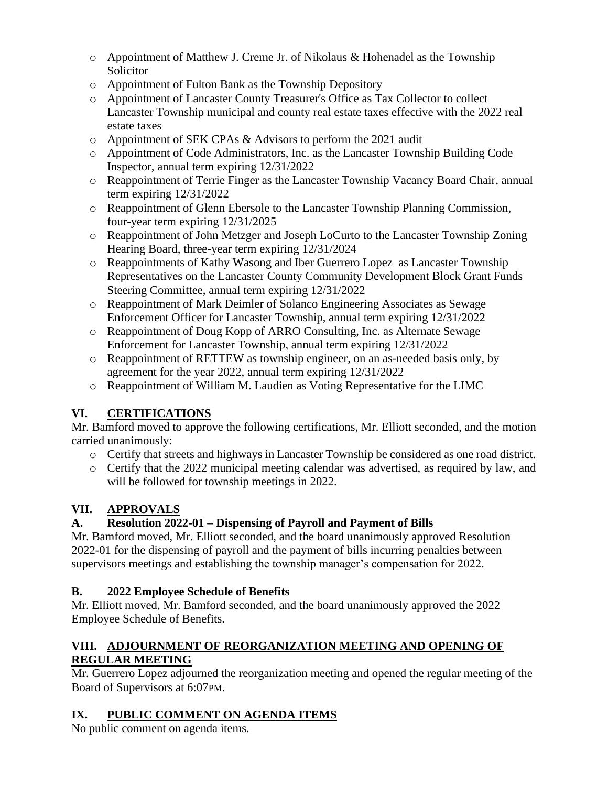- $\circ$  Appointment of Matthew J. Creme Jr. of Nikolaus & Hohenadel as the Township Solicitor
- o Appointment of Fulton Bank as the Township Depository
- o Appointment of Lancaster County Treasurer's Office as Tax Collector to collect Lancaster Township municipal and county real estate taxes effective with the 2022 real estate taxes
- o Appointment of SEK CPAs & Advisors to perform the 2021 audit
- o Appointment of Code Administrators, Inc. as the Lancaster Township Building Code Inspector, annual term expiring 12/31/2022
- o Reappointment of Terrie Finger as the Lancaster Township Vacancy Board Chair, annual term expiring 12/31/2022
- o Reappointment of Glenn Ebersole to the Lancaster Township Planning Commission, four-year term expiring 12/31/2025
- o Reappointment of John Metzger and Joseph LoCurto to the Lancaster Township Zoning Hearing Board, three-year term expiring 12/31/2024
- o Reappointments of Kathy Wasong and Iber Guerrero Lopez as Lancaster Township Representatives on the Lancaster County Community Development Block Grant Funds Steering Committee, annual term expiring 12/31/2022
- o Reappointment of Mark Deimler of Solanco Engineering Associates as Sewage Enforcement Officer for Lancaster Township, annual term expiring 12/31/2022
- o Reappointment of Doug Kopp of ARRO Consulting, Inc. as Alternate Sewage Enforcement for Lancaster Township, annual term expiring 12/31/2022
- o Reappointment of RETTEW as township engineer, on an as-needed basis only, by agreement for the year 2022, annual term expiring 12/31/2022
- o Reappointment of William M. Laudien as Voting Representative for the LIMC

## **VI. CERTIFICATIONS**

Mr. Bamford moved to approve the following certifications, Mr. Elliott seconded, and the motion carried unanimously:

- o Certify that streets and highways in Lancaster Township be considered as one road district.
- o Certify that the 2022 municipal meeting calendar was advertised, as required by law, and will be followed for township meetings in 2022.

## **VII. APPROVALS**

## **A. Resolution 2022-01 – Dispensing of Payroll and Payment of Bills**

Mr. Bamford moved, Mr. Elliott seconded, and the board unanimously approved Resolution 2022-01 for the dispensing of payroll and the payment of bills incurring penalties between supervisors meetings and establishing the township manager's compensation for 2022.

## **B. 2022 Employee Schedule of Benefits**

Mr. Elliott moved, Mr. Bamford seconded, and the board unanimously approved the 2022 Employee Schedule of Benefits.

## **VIII. ADJOURNMENT OF REORGANIZATION MEETING AND OPENING OF REGULAR MEETING**

Mr. Guerrero Lopez adjourned the reorganization meeting and opened the regular meeting of the Board of Supervisors at 6:07PM.

## **IX. PUBLIC COMMENT ON AGENDA ITEMS**

No public comment on agenda items.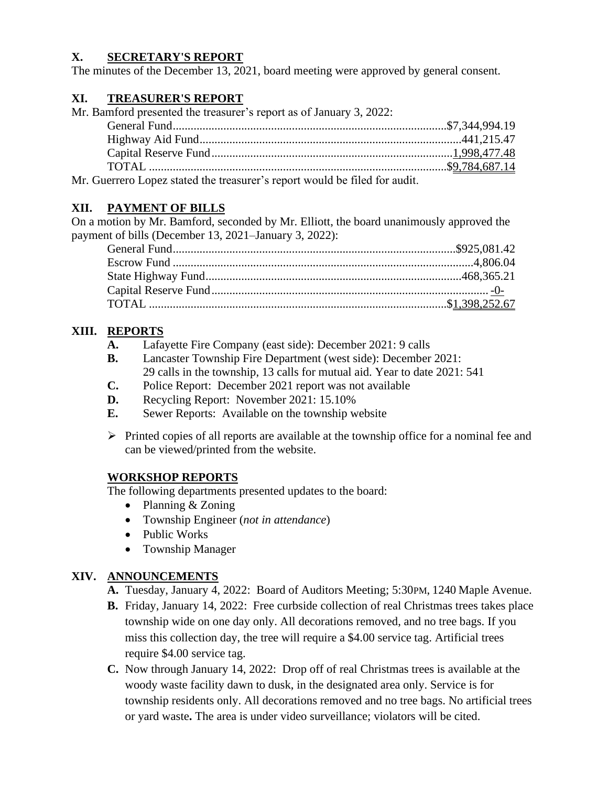#### **X. SECRETARY'S REPORT**

The minutes of the December 13, 2021, board meeting were approved by general consent.

#### **XI. TREASURER'S REPORT**

Mr. Bamford presented the treasurer's report as of January 3, 2022:

| $\alpha$ is the set of $\alpha$ is the set of $\alpha$ is the set of $\alpha$ is the set of $\alpha$ is the set of $\alpha$ is the set of $\alpha$ is the set of $\alpha$ is the set of $\alpha$ is the set of $\alpha$ is the set of $\alpha$ is the set of $\alpha$ is the |  |
|------------------------------------------------------------------------------------------------------------------------------------------------------------------------------------------------------------------------------------------------------------------------------|--|

Mr. Guerrero Lopez stated the treasurer's report would be filed for audit.

#### **XII. PAYMENT OF BILLS**

On a motion by Mr. Bamford, seconded by Mr. Elliott, the board unanimously approved the payment of bills (December 13, 2021–January 3, 2022):

#### **XIII. REPORTS**

- **A.** Lafayette Fire Company (east side): December 2021: 9 calls
- **B.** Lancaster Township Fire Department (west side): December 2021: 29 calls in the township, 13 calls for mutual aid. Year to date 2021: 541
- **C.** Police Report: December 2021 report was not available
- **D.** Recycling Report: November 2021: 15.10%
- **E.** Sewer Reports: Available on the township website
- ➢ Printed copies of all reports are available at the township office for a nominal fee and can be viewed/printed from the website.

#### **WORKSHOP REPORTS**

The following departments presented updates to the board:

- Planning & Zoning
- Township Engineer (*not in attendance*)
- Public Works
- Township Manager

#### **XIV. ANNOUNCEMENTS**

- **A.** Tuesday, January 4, 2022: Board of Auditors Meeting; 5:30PM, 1240 Maple Avenue.
- **B.** Friday, January 14, 2022: Free curbside collection of real Christmas trees takes place township wide on one day only. All decorations removed, and no tree bags. If you miss this collection day, the tree will require a \$4.00 service tag. Artificial trees require \$4.00 service tag.
- **C.** Now through January 14, 2022: Drop off of real Christmas trees is available at the woody waste facility dawn to dusk, in the designated area only. Service is for township residents only. All decorations removed and no tree bags. No artificial trees or yard waste**.** The area is under video surveillance; violators will be cited.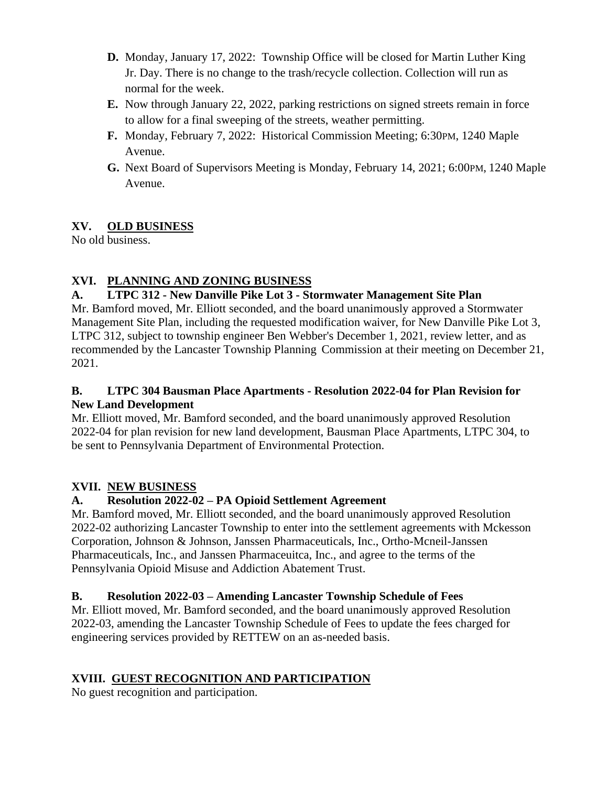- **D.** Monday, January 17, 2022: Township Office will be closed for Martin Luther King Jr. Day. There is no change to the trash/recycle collection. Collection will run as normal for the week.
- **E.** Now through January 22, 2022, parking restrictions on signed streets remain in force to allow for a final sweeping of the streets, weather permitting.
- **F.** Monday, February 7, 2022: Historical Commission Meeting; 6:30PM, 1240 Maple Avenue.
- **G.** Next Board of Supervisors Meeting is Monday, February 14, 2021; 6:00PM, 1240 Maple Avenue.

## **XV. OLD BUSINESS**

No old business.

## **XVI. PLANNING AND ZONING BUSINESS**

## **A. LTPC 312 - New Danville Pike Lot 3 - Stormwater Management Site Plan**

Mr. Bamford moved, Mr. Elliott seconded, and the board unanimously approved a Stormwater Management Site Plan, including the requested modification waiver, for New Danville Pike Lot 3, LTPC 312, subject to township engineer Ben Webber's December 1, 2021, review letter, and as recommended by the Lancaster Township Planning Commission at their meeting on December 21, 2021.

#### **B. LTPC 304 Bausman Place Apartments - Resolution 2022-04 for Plan Revision for New Land Development**

Mr. Elliott moved, Mr. Bamford seconded, and the board unanimously approved Resolution 2022-04 for plan revision for new land development, Bausman Place Apartments, LTPC 304, to be sent to Pennsylvania Department of Environmental Protection.

## **XVII. NEW BUSINESS**

## **A. Resolution 2022-02 – PA Opioid Settlement Agreement**

Mr. Bamford moved, Mr. Elliott seconded, and the board unanimously approved Resolution 2022-02 authorizing Lancaster Township to enter into the settlement agreements with Mckesson Corporation, Johnson & Johnson, Janssen Pharmaceuticals, Inc., Ortho-Mcneil-Janssen Pharmaceuticals, Inc., and Janssen Pharmaceuitca, Inc., and agree to the terms of the Pennsylvania Opioid Misuse and Addiction Abatement Trust.

## **B. Resolution 2022-03 – Amending Lancaster Township Schedule of Fees**

Mr. Elliott moved, Mr. Bamford seconded, and the board unanimously approved Resolution 2022-03, amending the Lancaster Township Schedule of Fees to update the fees charged for engineering services provided by RETTEW on an as-needed basis.

## **XVIII. GUEST RECOGNITION AND PARTICIPATION**

No guest recognition and participation.